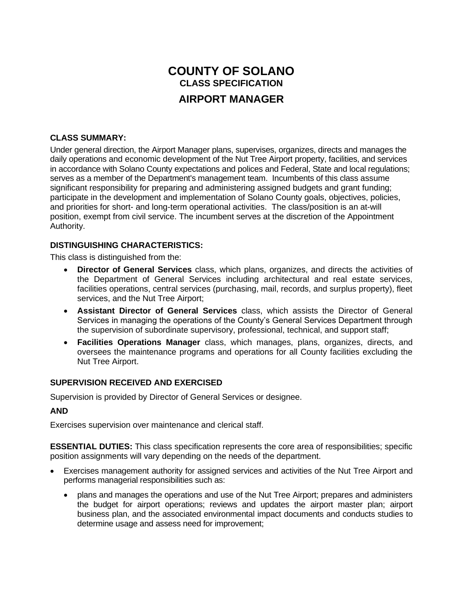# **COUNTY OF SOLANO CLASS SPECIFICATION AIRPORT MANAGER**

## **CLASS SUMMARY:**

Under general direction, the Airport Manager plans, supervises, organizes, directs and manages the daily operations and economic development of the Nut Tree Airport property, facilities, and services in accordance with Solano County expectations and polices and Federal, State and local regulations; serves as a member of the Department's management team. Incumbents of this class assume significant responsibility for preparing and administering assigned budgets and grant funding; participate in the development and implementation of Solano County goals, objectives, policies, and priorities for short- and long-term operational activities. The class/position is an at-will position, exempt from civil service. The incumbent serves at the discretion of the Appointment Authority.

#### **DISTINGUISHING CHARACTERISTICS:**

This class is distinguished from the:

- **Director of General Services** class, which plans, organizes, and directs the activities of the Department of General Services including architectural and real estate services, facilities operations, central services (purchasing, mail, records, and surplus property), fleet services, and the Nut Tree Airport;
- **Assistant Director of General Services** class, which assists the Director of General Services in managing the operations of the County's General Services Department through the supervision of subordinate supervisory, professional, technical, and support staff;
- **Facilities Operations Manager** class, which manages, plans, organizes, directs, and oversees the maintenance programs and operations for all County facilities excluding the Nut Tree Airport.

## **SUPERVISION RECEIVED AND EXERCISED**

Supervision is provided by Director of General Services or designee.

#### **AND**

Exercises supervision over maintenance and clerical staff.

**ESSENTIAL DUTIES:** This class specification represents the core area of responsibilities; specific position assignments will vary depending on the needs of the department.

- Exercises management authority for assigned services and activities of the Nut Tree Airport and performs managerial responsibilities such as:
	- plans and manages the operations and use of the Nut Tree Airport; prepares and administers the budget for airport operations; reviews and updates the airport master plan; airport business plan, and the associated environmental impact documents and conducts studies to determine usage and assess need for improvement;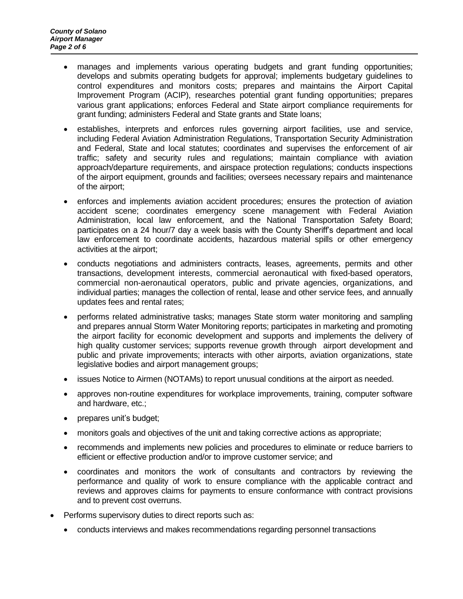- manages and implements various operating budgets and grant funding opportunities; develops and submits operating budgets for approval; implements budgetary guidelines to control expenditures and monitors costs; prepares and maintains the Airport Capital Improvement Program (ACIP), researches potential grant funding opportunities; prepares various grant applications; enforces Federal and State airport compliance requirements for grant funding; administers Federal and State grants and State loans;
- establishes, interprets and enforces rules governing airport facilities, use and service, including Federal Aviation Administration Regulations, Transportation Security Administration and Federal, State and local statutes; coordinates and supervises the enforcement of air traffic; safety and security rules and regulations; maintain compliance with aviation approach/departure requirements, and airspace protection regulations; conducts inspections of the airport equipment, grounds and facilities; oversees necessary repairs and maintenance of the airport;
- enforces and implements aviation accident procedures; ensures the protection of aviation accident scene; coordinates emergency scene management with Federal Aviation Administration, local law enforcement, and the National Transportation Safety Board; participates on a 24 hour/7 day a week basis with the County Sheriff's department and local law enforcement to coordinate accidents, hazardous material spills or other emergency activities at the airport;
- conducts negotiations and administers contracts, leases, agreements, permits and other transactions, development interests, commercial aeronautical with fixed-based operators, commercial non-aeronautical operators, public and private agencies, organizations, and individual parties; manages the collection of rental, lease and other service fees, and annually updates fees and rental rates;
- performs related administrative tasks; manages State storm water monitoring and sampling and prepares annual Storm Water Monitoring reports; participates in marketing and promoting the airport facility for economic development and supports and implements the delivery of high quality customer services; supports revenue growth through airport development and public and private improvements; interacts with other airports, aviation organizations, state legislative bodies and airport management groups;
- issues Notice to Airmen (NOTAMs) to report unusual conditions at the airport as needed.
- approves non-routine expenditures for workplace improvements, training, computer software and hardware, etc.;
- prepares unit's budget;
- monitors goals and objectives of the unit and taking corrective actions as appropriate;
- recommends and implements new policies and procedures to eliminate or reduce barriers to efficient or effective production and/or to improve customer service; and
- coordinates and monitors the work of consultants and contractors by reviewing the performance and quality of work to ensure compliance with the applicable contract and reviews and approves claims for payments to ensure conformance with contract provisions and to prevent cost overruns.
- Performs supervisory duties to direct reports such as:
	- conducts interviews and makes recommendations regarding personnel transactions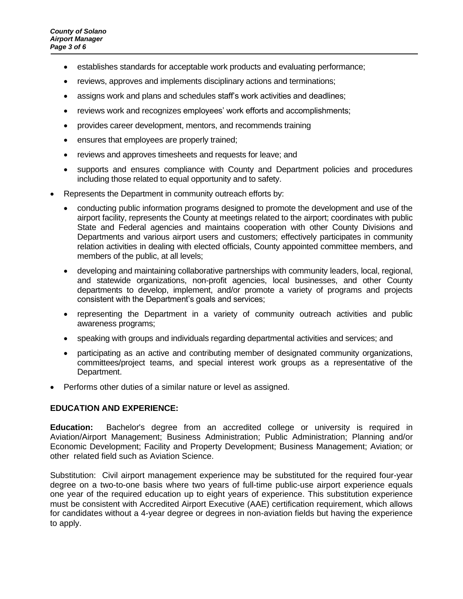- establishes standards for acceptable work products and evaluating performance;
- reviews, approves and implements disciplinary actions and terminations;
- assigns work and plans and schedules staff's work activities and deadlines;
- reviews work and recognizes employees' work efforts and accomplishments;
- provides career development, mentors, and recommends training
- ensures that employees are properly trained;
- reviews and approves timesheets and requests for leave; and
- supports and ensures compliance with County and Department policies and procedures including those related to equal opportunity and to safety.
- Represents the Department in community outreach efforts by:
	- conducting public information programs designed to promote the development and use of the airport facility, represents the County at meetings related to the airport; coordinates with public State and Federal agencies and maintains cooperation with other County Divisions and Departments and various airport users and customers; effectively participates in community relation activities in dealing with elected officials, County appointed committee members, and members of the public, at all levels;
	- developing and maintaining collaborative partnerships with community leaders, local, regional, and statewide organizations, non-profit agencies, local businesses, and other County departments to develop, implement, and/or promote a variety of programs and projects consistent with the Department's goals and services;
	- representing the Department in a variety of community outreach activities and public awareness programs;
	- speaking with groups and individuals regarding departmental activities and services; and
	- participating as an active and contributing member of designated community organizations, committees/project teams, and special interest work groups as a representative of the Department.
- Performs other duties of a similar nature or level as assigned.

## **EDUCATION AND EXPERIENCE:**

**Education:** Bachelor's degree from an accredited college or university is required in Aviation/Airport Management; Business Administration; Public Administration; Planning and/or Economic Development; Facility and Property Development; Business Management; Aviation; or other related field such as Aviation Science.

Substitution: Civil airport management experience may be substituted for the required four-year degree on a two-to-one basis where two years of full-time public-use airport experience equals one year of the required education up to eight years of experience. This substitution experience must be consistent with Accredited Airport Executive (AAE) certification requirement, which allows for candidates without a 4-year degree or degrees in non-aviation fields but having the experience to apply.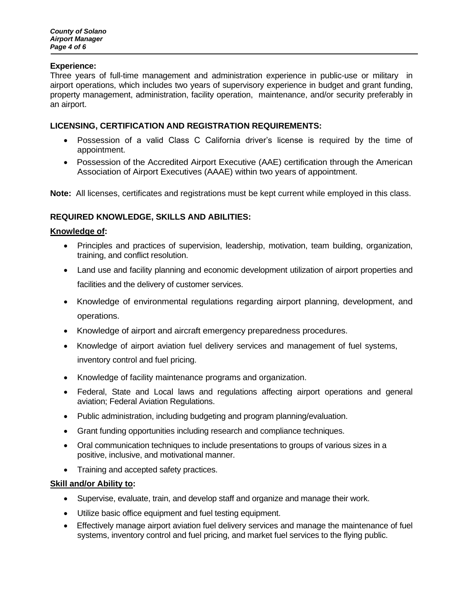#### **Experience:**

Three years of full-time management and administration experience in public-use or military in airport operations, which includes two years of supervisory experience in budget and grant funding, property management, administration, facility operation, maintenance, and/or security preferably in an airport.

## **LICENSING, CERTIFICATION AND REGISTRATION REQUIREMENTS:**

- Possession of a valid Class C California driver's license is required by the time of appointment.
- Possession of the Accredited Airport Executive (AAE) certification through the American Association of Airport Executives (AAAE) within two years of appointment.

**Note:** All licenses, certificates and registrations must be kept current while employed in this class.

## **REQUIRED KNOWLEDGE, SKILLS AND ABILITIES:**

#### **Knowledge of:**

- Principles and practices of supervision, leadership, motivation, team building, organization, training, and conflict resolution.
- Land use and facility planning and economic development utilization of airport properties and facilities and the delivery of customer services.
- Knowledge of environmental regulations regarding airport planning, development, and operations.
- Knowledge of airport and aircraft emergency preparedness procedures.
- Knowledge of airport aviation fuel delivery services and management of fuel systems, inventory control and fuel pricing.
- Knowledge of facility maintenance programs and organization.
- Federal, State and Local laws and regulations affecting airport operations and general aviation; Federal Aviation Regulations.
- Public administration, including budgeting and program planning/evaluation.
- Grant funding opportunities including research and compliance techniques.
- Oral communication techniques to include presentations to groups of various sizes in a positive, inclusive, and motivational manner.
- Training and accepted safety practices.

## **Skill and/or Ability to:**

- Supervise, evaluate, train, and develop staff and organize and manage their work.
- Utilize basic office equipment and fuel testing equipment.
- Effectively manage airport aviation fuel delivery services and manage the maintenance of fuel systems, inventory control and fuel pricing, and market fuel services to the flying public.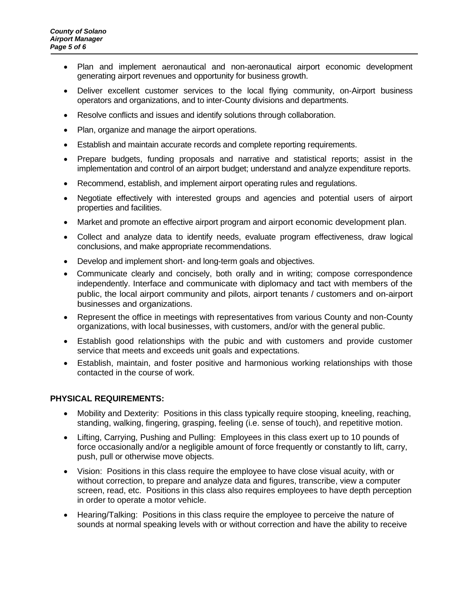- Plan and implement aeronautical and non-aeronautical airport economic development generating airport revenues and opportunity for business growth.
- Deliver excellent customer services to the local flying community, on-Airport business operators and organizations, and to inter-County divisions and departments.
- Resolve conflicts and issues and identify solutions through collaboration.
- Plan, organize and manage the airport operations.
- Establish and maintain accurate records and complete reporting requirements.
- Prepare budgets, funding proposals and narrative and statistical reports; assist in the implementation and control of an airport budget; understand and analyze expenditure reports.
- Recommend, establish, and implement airport operating rules and regulations.
- Negotiate effectively with interested groups and agencies and potential users of airport properties and facilities.
- Market and promote an effective airport program and airport economic development plan.
- Collect and analyze data to identify needs, evaluate program effectiveness, draw logical conclusions, and make appropriate recommendations.
- Develop and implement short- and long-term goals and objectives.
- Communicate clearly and concisely, both orally and in writing; compose correspondence independently. Interface and communicate with diplomacy and tact with members of the public, the local airport community and pilots, airport tenants / customers and on-airport businesses and organizations.
- Represent the office in meetings with representatives from various County and non-County organizations, with local businesses, with customers, and/or with the general public.
- Establish good relationships with the pubic and with customers and provide customer service that meets and exceeds unit goals and expectations.
- Establish, maintain, and foster positive and harmonious working relationships with those contacted in the course of work.

## **PHYSICAL REQUIREMENTS:**

- Mobility and Dexterity: Positions in this class typically require stooping, kneeling, reaching, standing, walking, fingering, grasping, feeling (i.e. sense of touch), and repetitive motion.
- Lifting, Carrying, Pushing and Pulling: Employees in this class exert up to 10 pounds of force occasionally and/or a negligible amount of force frequently or constantly to lift, carry, push, pull or otherwise move objects.
- Vision: Positions in this class require the employee to have close visual acuity, with or without correction, to prepare and analyze data and figures, transcribe, view a computer screen, read, etc. Positions in this class also requires employees to have depth perception in order to operate a motor vehicle.
- Hearing/Talking: Positions in this class require the employee to perceive the nature of sounds at normal speaking levels with or without correction and have the ability to receive